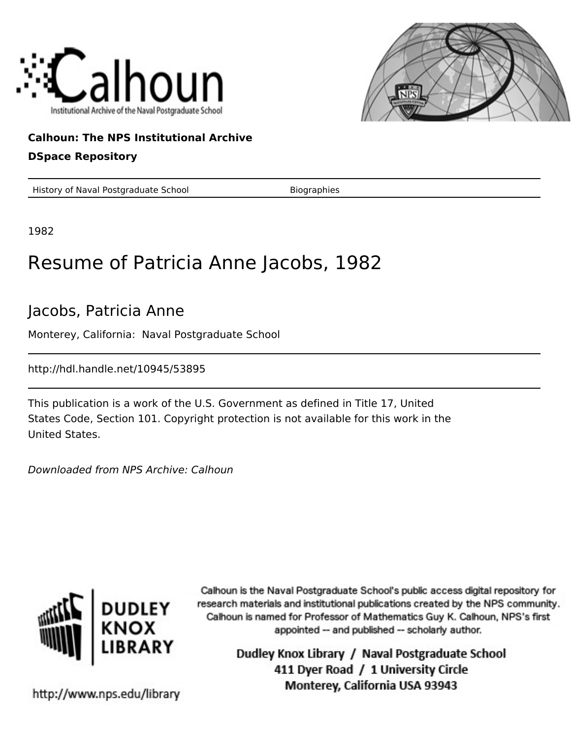



## **Calhoun: The NPS Institutional Archive**

### **DSpace Repository**

History of Naval Postgraduate School Biographies

1982

# Resume of Patricia Anne Jacobs, 1982

## Jacobs, Patricia Anne

Monterey, California: Naval Postgraduate School

http://hdl.handle.net/10945/53895

This publication is a work of the U.S. Government as defined in Title 17, United States Code, Section 101. Copyright protection is not available for this work in the United States.

Downloaded from NPS Archive: Calhoun



Calhoun is the Naval Postgraduate School's public access digital repository for research materials and institutional publications created by the NPS community. Calhoun is named for Professor of Mathematics Guy K. Calhoun, NPS's first appointed -- and published -- scholarly author.

> Dudley Knox Library / Naval Postgraduate School 411 Dyer Road / 1 University Circle Monterey, California USA 93943

http://www.nps.edu/library